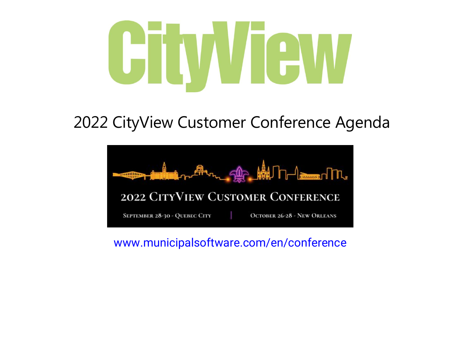## CHWGW

## 2022 CityView Customer Conference Agenda



## [www.municipalsoftware.com/en/conference](https://www.municipalsoftware.com/en/conference/)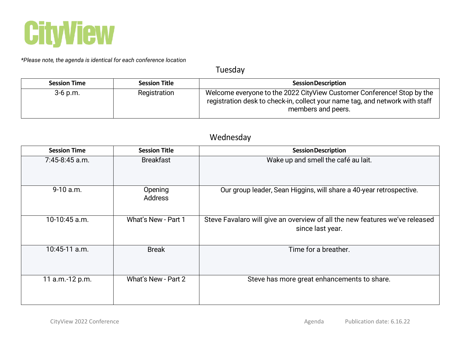

*\*Please note, the agenda is identical for each conference location*

Tuesday

| <b>Session Time</b> | <b>Session Title</b> | <b>Session Description</b>                                                                                                                                                   |
|---------------------|----------------------|------------------------------------------------------------------------------------------------------------------------------------------------------------------------------|
| $3-6$ p.m.          | Registration         | Welcome everyone to the 2022 CityView Customer Conference! Stop by the<br>registration desk to check-in, collect your name tag, and network with staff<br>members and peers. |

## Wednesday

| <b>Session Time</b> | <b>Session Title</b>      | <b>Session Description</b>                                                                      |
|---------------------|---------------------------|-------------------------------------------------------------------------------------------------|
| $7:45-8:45$ a.m.    | <b>Breakfast</b>          | Wake up and smell the café au lait.                                                             |
| $9-10$ a.m.         | Opening<br><b>Address</b> | Our group leader, Sean Higgins, will share a 40-year retrospective.                             |
| 10-10:45 a.m.       | What's New - Part 1       | Steve Favalaro will give an overview of all the new features we've released<br>since last year. |
| $10:45-11$ a.m.     | <b>Break</b>              | Time for a breather.                                                                            |
| 11 a.m.-12 p.m.     | What's New - Part 2       | Steve has more great enhancements to share.                                                     |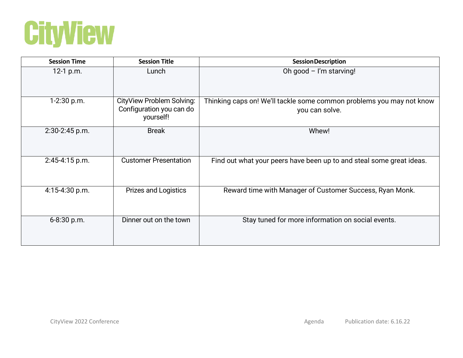

| <b>Session Time</b> | <b>Session Title</b>                                               | <b>Session Description</b>                                                             |
|---------------------|--------------------------------------------------------------------|----------------------------------------------------------------------------------------|
| 12-1 p.m.           | Lunch                                                              | Oh good - I'm starving!                                                                |
| 1-2:30 p.m.         | CityView Problem Solving:<br>Configuration you can do<br>yourself! | Thinking caps on! We'll tackle some common problems you may not know<br>you can solve. |
| $2:30-2:45$ p.m.    | <b>Break</b>                                                       | Whew!                                                                                  |
| 2:45-4:15 p.m.      | <b>Customer Presentation</b>                                       | Find out what your peers have been up to and steal some great ideas.                   |
| $4:15-4:30$ p.m.    | <b>Prizes and Logistics</b>                                        | Reward time with Manager of Customer Success, Ryan Monk.                               |
| 6-8:30 p.m.         | Dinner out on the town                                             | Stay tuned for more information on social events.                                      |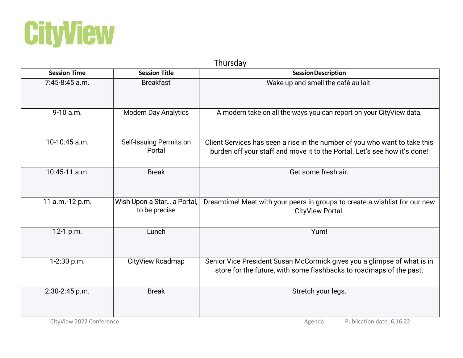

| Thursday            |                                             |                                                                                                                                                         |  |
|---------------------|---------------------------------------------|---------------------------------------------------------------------------------------------------------------------------------------------------------|--|
| <b>Session Time</b> | <b>Session Title</b>                        | <b>Session Description</b>                                                                                                                              |  |
| $7:45-8:45$ a.m.    | <b>Breakfast</b>                            | Wake up and smell the café au lait.                                                                                                                     |  |
| 9-10 a.m.           | <b>Modern Day Analytics</b>                 | A modern take on all the ways you can report on your CityView data.                                                                                     |  |
| 10-10:45 a.m.       | Self-Issuing Permits on<br>Portal           | Client Services has seen a rise in the number of you who want to take this<br>burden off your staff and move it to the Portal. Let's see how it's done! |  |
| 10:45-11 a.m.       | <b>Break</b>                                | Get some fresh air.                                                                                                                                     |  |
| 11 a.m.-12 p.m.     | Wish Upon a Star a Portal,<br>to be precise | Dreamtime! Meet with your peers in groups to create a wishlist for our new<br>CityView Portal.                                                          |  |
| 12-1 p.m.           | Lunch                                       | Yum!                                                                                                                                                    |  |
| 1-2:30 p.m.         | CityView Roadmap                            | Senior Vice President Susan McCormick gives you a glimpse of what is in<br>store for the future, with some flashbacks to roadmaps of the past.          |  |
| 2:30-2:45 p.m.      | <b>Break</b>                                | Stretch your legs.                                                                                                                                      |  |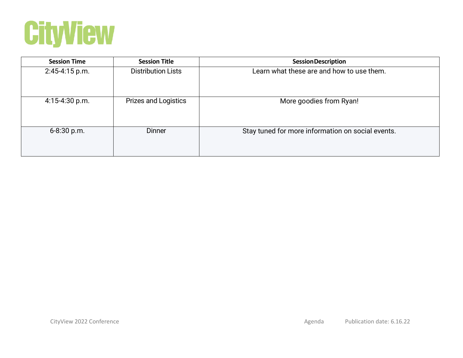

| <b>Session Time</b> | <b>Session Title</b>        | <b>Session Description</b>                        |
|---------------------|-----------------------------|---------------------------------------------------|
| $2:45-4:15 p.m.$    | <b>Distribution Lists</b>   | Learn what these are and how to use them.         |
| $4:15-4:30 p.m.$    | <b>Prizes and Logistics</b> | More goodies from Ryan!                           |
| 6-8:30 p.m.         | <b>Dinner</b>               | Stay tuned for more information on social events. |